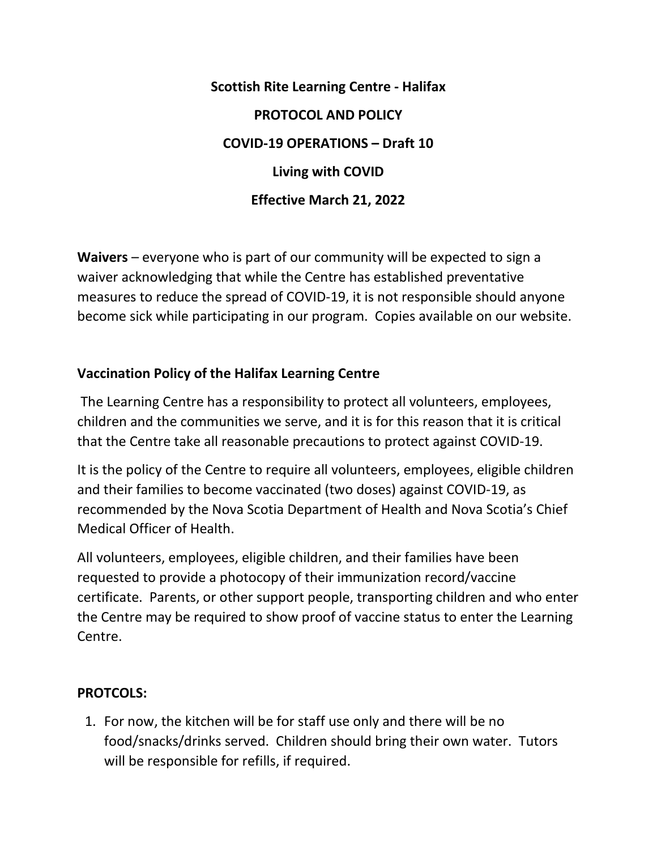**Scottish Rite Learning Centre - Halifax PROTOCOL AND POLICY COVID-19 OPERATIONS – Draft 10 Living with COVID Effective March 21, 2022**

**Waivers** – everyone who is part of our community will be expected to sign a waiver acknowledging that while the Centre has established preventative measures to reduce the spread of COVID-19, it is not responsible should anyone become sick while participating in our program. Copies available on our website.

## **Vaccination Policy of the Halifax Learning Centre**

The Learning Centre has a responsibility to protect all volunteers, employees, children and the communities we serve, and it is for this reason that it is critical that the Centre take all reasonable precautions to protect against COVID-19.

It is the policy of the Centre to require all volunteers, employees, eligible children and their families to become vaccinated (two doses) against COVID-19, as recommended by the Nova Scotia Department of Health and Nova Scotia's Chief Medical Officer of Health.

All volunteers, employees, eligible children, and their families have been requested to provide a photocopy of their immunization record/vaccine certificate. Parents, or other support people, transporting children and who enter the Centre may be required to show proof of vaccine status to enter the Learning Centre.

## **PROTCOLS:**

1. For now, the kitchen will be for staff use only and there will be no food/snacks/drinks served. Children should bring their own water. Tutors will be responsible for refills, if required.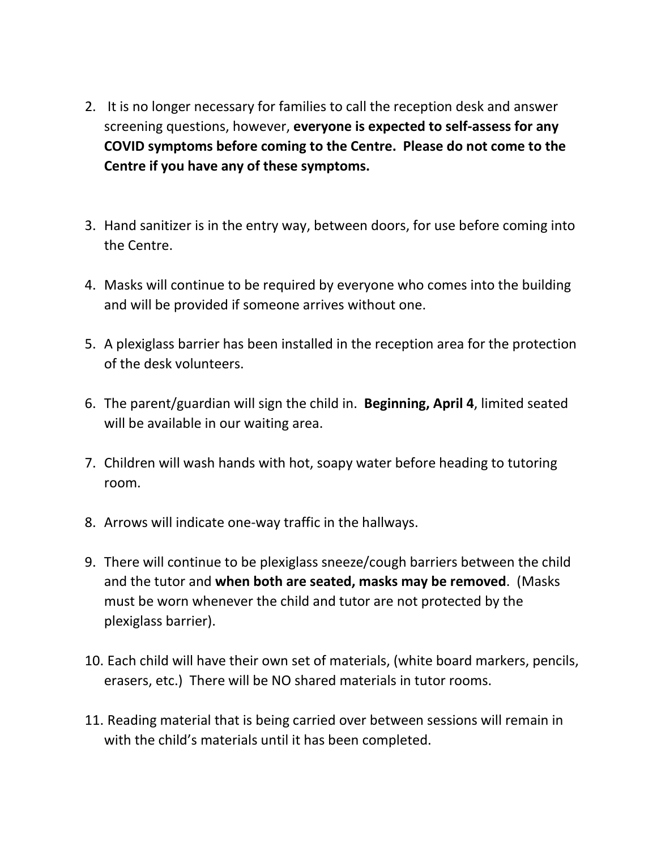- 2. It is no longer necessary for families to call the reception desk and answer screening questions, however, **everyone is expected to self-assess for any COVID symptoms before coming to the Centre. Please do not come to the Centre if you have any of these symptoms.**
- 3. Hand sanitizer is in the entry way, between doors, for use before coming into the Centre.
- 4. Masks will continue to be required by everyone who comes into the building and will be provided if someone arrives without one.
- 5. A plexiglass barrier has been installed in the reception area for the protection of the desk volunteers.
- 6. The parent/guardian will sign the child in. **Beginning, April 4**, limited seated will be available in our waiting area.
- 7. Children will wash hands with hot, soapy water before heading to tutoring room.
- 8. Arrows will indicate one-way traffic in the hallways.
- 9. There will continue to be plexiglass sneeze/cough barriers between the child and the tutor and **when both are seated, masks may be removed**. (Masks must be worn whenever the child and tutor are not protected by the plexiglass barrier).
- 10. Each child will have their own set of materials, (white board markers, pencils, erasers, etc.) There will be NO shared materials in tutor rooms.
- 11. Reading material that is being carried over between sessions will remain in with the child's materials until it has been completed.